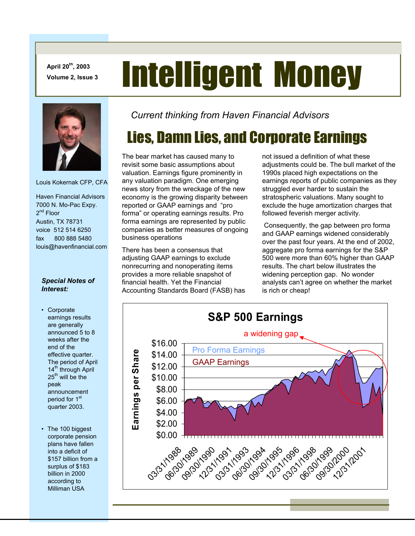**April 20th, 2003** 

# April 20<sup>th</sup>, 2003<br>Volume 2, Issue 3 **Intelligent Money**



Louis Kokernak CFP, CFA

 Haven Financial Advisors 7000 N. Mo-Pac Expy. 2<sup>nd</sup> Floor Austin, TX 78731 voice 512 514 6250 fax 800 888 5480 louis@havenfinancial.com

#### *Special Notes of Interest:*

- Corporate earnings results are generally announced 5 to 8 weeks after the end of the effective quarter. The period of April 14<sup>th</sup> through April 25<sup>th</sup> will be the peak announcement period for 1<sup>st</sup> quarter 2003.
- The 100 biggest corporate pension plans have fallen into a deficit of \$157 billion from a surplus of \$183 billion in 2000 according to Milliman USA

*Current thinking from Haven Financial Advisors* 

# Lies, Damn Lies, and Corporate Earnings

The bear market has caused many to revisit some basic assumptions about valuation. Earnings figure prominently in any valuation paradigm. One emerging news story from the wreckage of the new economy is the growing disparity between reported or GAAP earnings and "pro forma" or operating earnings results. Pro forma earnings are represented by public companies as better measures of ongoing business operations

There has been a consensus that adjusting GAAP earnings to exclude nonrecurring and nonoperating items provides a more reliable snapshot of financial health. Yet the Financial Accounting Standards Board (FASB) has

not issued a definition of what these adjustments could be. The bull market of the 1990s placed high expectations on the earnings reports of public companies as they struggled ever harder to sustain the stratospheric valuations. Many sought to exclude the huge amortization charges that followed feverish merger activity.

 Consequently, the gap between pro forma and GAAP earnings widened considerably over the past four years. At the end of 2002, aggregate pro forma earnings for the S&P 500 were more than 60% higher than GAAP results. The chart below illustrates the widening perception gap. No wonder analysts can't agree on whether the market is rich or cheap!